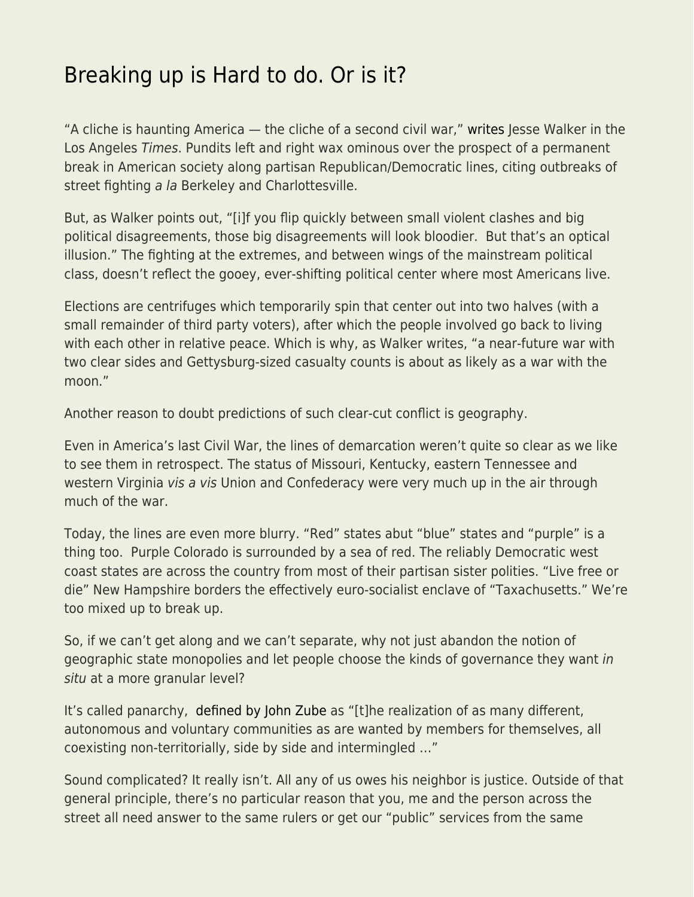## [Breaking up is Hard to do. Or is it?](https://everything-voluntary.com/breaking-up-is-hard-to-do-or-is-it)

"A cliche is haunting America — the cliche of a second civil war," [writes](http://www.latimes.com/opinion/op-ed/la-oe-walker-second-civil-war-20170820-story.html) Jesse Walker in the Los Angeles Times. Pundits left and right wax ominous over the prospect of a permanent break in American society along partisan Republican/Democratic lines, citing outbreaks of street fighting a la Berkeley and Charlottesville.

But, as Walker points out, "[i]f you flip quickly between small violent clashes and big political disagreements, those big disagreements will look bloodier. But that's an optical illusion." The fighting at the extremes, and between wings of the mainstream political class, doesn't reflect the gooey, ever-shifting political center where most Americans live.

Elections are centrifuges which temporarily spin that center out into two halves (with a small remainder of third party voters), after which the people involved go back to living with each other in relative peace. Which is why, as Walker writes, "a near-future war with two clear sides and Gettysburg-sized casualty counts is about as likely as a war with the moon."

Another reason to doubt predictions of such clear-cut conflict is geography.

Even in America's last Civil War, the lines of demarcation weren't quite so clear as we like to see them in retrospect. The status of Missouri, Kentucky, eastern Tennessee and western Virginia vis a vis Union and Confederacy were very much up in the air through much of the war.

Today, the lines are even more blurry. "Red" states abut "blue" states and "purple" is a thing too. Purple Colorado is surrounded by a sea of red. The reliably Democratic west coast states are across the country from most of their partisan sister polities. "Live free or die" New Hampshire borders the effectively euro-socialist enclave of "Taxachusetts." We're too mixed up to break up.

So, if we can't get along and we can't separate, why not just abandon the notion of geographic state monopolies and let people choose the kinds of governance they want in situ at a more granular level?

It's called panarchy, [defined by John Zube](http://www.panarchy.org/zube/gospel.1986.html) as "[t]he realization of as many different, autonomous and voluntary communities as are wanted by members for themselves, all coexisting non-territorially, side by side and intermingled …"

Sound complicated? It really isn't. All any of us owes his neighbor is justice. Outside of that general principle, there's no particular reason that you, me and the person across the street all need answer to the same rulers or get our "public" services from the same